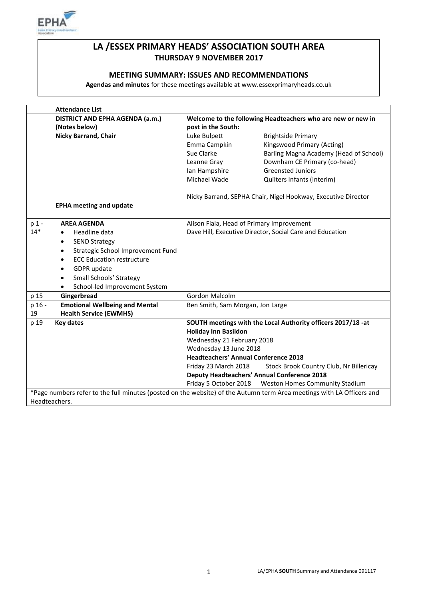

# **LA /ESSEX PRIMARY HEADS' ASSOCIATION SOUTH AREA THURSDAY 9 NOVEMBER 2017**

## **MEETING SUMMARY: ISSUES AND RECOMMENDATIONS**

**Agendas and minutes** for these meetings available at www.essexprimaryheads.co.uk

|                                                                                                                       | <b>Attendance List</b>                         |                                                               |                                                    |  |
|-----------------------------------------------------------------------------------------------------------------------|------------------------------------------------|---------------------------------------------------------------|----------------------------------------------------|--|
|                                                                                                                       | DISTRICT AND EPHA AGENDA (a.m.)                | Welcome to the following Headteachers who are new or new in   |                                                    |  |
|                                                                                                                       | (Notes below)                                  | post in the South:                                            |                                                    |  |
|                                                                                                                       | <b>Nicky Barrand, Chair</b>                    | Luke Bulpett                                                  | <b>Brightside Primary</b>                          |  |
|                                                                                                                       |                                                | Emma Campkin                                                  | Kingswood Primary (Acting)                         |  |
|                                                                                                                       |                                                | Sue Clarke                                                    | Barling Magna Academy (Head of School)             |  |
|                                                                                                                       |                                                | Leanne Gray                                                   | Downham CE Primary (co-head)                       |  |
|                                                                                                                       |                                                | Ian Hampshire                                                 | <b>Greensted Juniors</b>                           |  |
|                                                                                                                       |                                                | Michael Wade                                                  | Quilters Infants (Interim)                         |  |
|                                                                                                                       |                                                | Nicky Barrand, SEPHA Chair, Nigel Hookway, Executive Director |                                                    |  |
|                                                                                                                       | <b>EPHA meeting and update</b>                 |                                                               |                                                    |  |
| p 1 -                                                                                                                 | <b>AREA AGENDA</b>                             | Alison Fiala, Head of Primary Improvement                     |                                                    |  |
| $14*$                                                                                                                 | Headline data<br>$\bullet$                     | Dave Hill, Executive Director, Social Care and Education      |                                                    |  |
|                                                                                                                       | <b>SEND Strategy</b><br>$\bullet$              |                                                               |                                                    |  |
|                                                                                                                       | Strategic School Improvement Fund<br>$\bullet$ |                                                               |                                                    |  |
|                                                                                                                       | <b>ECC Education restructure</b><br>$\bullet$  |                                                               |                                                    |  |
|                                                                                                                       | GDPR update<br>$\bullet$                       |                                                               |                                                    |  |
|                                                                                                                       | Small Schools' Strategy<br>$\bullet$           |                                                               |                                                    |  |
|                                                                                                                       | School-led Improvement System<br>٠             |                                                               |                                                    |  |
| p 15                                                                                                                  | Gingerbread                                    | Gordon Malcolm                                                |                                                    |  |
| p 16 -                                                                                                                | <b>Emotional Wellbeing and Mental</b>          | Ben Smith, Sam Morgan, Jon Large                              |                                                    |  |
| 19                                                                                                                    | <b>Health Service (EWMHS)</b>                  |                                                               |                                                    |  |
| p 19                                                                                                                  | <b>Key dates</b>                               | SOUTH meetings with the Local Authority officers 2017/18 -at  |                                                    |  |
|                                                                                                                       |                                                | <b>Holiday Inn Basildon</b>                                   |                                                    |  |
|                                                                                                                       |                                                | Wednesday 21 February 2018                                    |                                                    |  |
|                                                                                                                       |                                                | Wednesday 13 June 2018                                        |                                                    |  |
|                                                                                                                       |                                                | <b>Headteachers' Annual Conference 2018</b>                   |                                                    |  |
|                                                                                                                       |                                                | Friday 23 March 2018                                          | Stock Brook Country Club, Nr Billericay            |  |
|                                                                                                                       |                                                |                                                               | <b>Deputy Headteachers' Annual Conference 2018</b> |  |
|                                                                                                                       |                                                | Friday 5 October 2018                                         | Weston Homes Community Stadium                     |  |
| *Page numbers refer to the full minutes (posted on the website) of the Autumn term Area meetings with LA Officers and |                                                |                                                               |                                                    |  |
| Headteachers.                                                                                                         |                                                |                                                               |                                                    |  |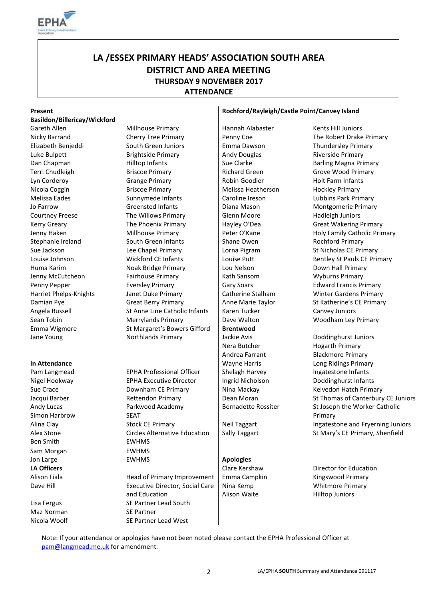

# **LA /ESSEX PRIMARY HEADS' ASSOCIATION SOUTH AREA DISTRICT AND AREA MEETING THURSDAY 9 NOVEMBER 2017 ATTENDANCE**

### **Basildon/Billericay/Wickford**

Jane Young Northlands Primary Jackie Avis Doddinghurst Juniors Communicular Avis

Andy Lucas Simon Harbrow Ben Smith EWHMS Sam Morgan **EWHMS** 

Maz Norman SE Partner

Gareth Allen **Millhouse Primary** Hannah Alabaster Kents Hill Juniors Nicky Barrand **Cherry Tree Primary** Penny Coe The Robert Drake Primary Elizabeth Benjeddi South Green Juniors Emma Dawson Thundersley Primary Luke Bulpett **Brightside Primary** Andy Douglas Riverside Primary Dan Chapman **Example 2** Hilltop Infants Sue Clarke Barling Magna Primary Terri Chudleigh Briscoe Primary Richard Green Grove Wood Primary Lyn Corderoy **Grange Primary** Robin Goodier Holt Farm Infants Nicola Coggin **Briscoe Primary Archarge Melissa Heatherson** Hockley Primary Melissa Eades **Sunnymede Infants** Caroline Ireson Lubbins Park Primary Jo Farrow **Greensted Infants** Diana Mason Montgomerie Primary Courtney Freese The Willows Primary Glenn Moore Hadleigh Juniors Kerry Greary **The Phoenix Primary** Hayley O'Dea Great Wakering Primary Hayley Hayley O'Dea Stephanie Ireland South Green Infants Shane Owen Rochford Primary Sue Jackson Lee Chapel Primary Lorna Pigram St Nicholas CE Primary Louise Johnson **Example 20 Wickford CE Infants** Louise Putt **Louise Putt** Bentley St Pauls CE Primary Huma Karim **Noak Bridge Primary** Lou Nelson **Lou Down Hall Primary** Jenny McCutcheon Fairhouse Primary Fairhouse Primary Rath Sansom Wyburns Primary Penny Pepper **Eversley Primary Community** Gary Soars Edward Francis Primary Harriet Phelps-Knights Janet Duke Primary Catherine Stalham Winter Gardens Primary Damian Pye Great Berry Primary Anne Marie Taylor St Katherine's CE Primary Angela Russell St Anne Line Catholic Infants | Karen Tucker Canvey Juniors Sean Tobin **Merrylands Primary Dave Walton** Woodham Ley Primary **Merrylands Primary** Dave Walton Emma Wigmore **St Margaret's Bowers Gifford** | **Brentwood** 

Pam Langmead **EPHA Professional Officer** Shelagh Harvey Ingatestone Infants Nigel Hookway **EPHA Executive Director** | Ingrid Nicholson Doddinghurst Infants Sue Crace **Downham CE Primary** Nina Mackay Kelvedon Hatch Primary Nina Mackay **Kelvedon Hatch Primary** Parkwood Academy SEAT **Jon Large**  EWHMS **Apologies LA Officers** Clare Kershaw Director for Education **Clare Kershaw** Director for Education

Dave Hill **Executive Director**, Social Care and Education Lisa Fergus SE Partner Lead South Nicola Woolf SE Partner Lead West

### **Present Rochford/Rayleigh/Castle Point/Canvey Island**

Nera Butcher **Hogarth Primary** Andrea Farrant Blackmore Primary

Nina Kemp Alison Waite

Jenny Haken Millhouse Primary | Peter O'Kane Holy Family Catholic Primary

**In Attendance In Attendance In Attendance In Attendance In Attendance In Attendance In Attendance In Attendance In Attendance In Attendance In Attendance In Attendance In Attendance In Attendance** Jacqui Barber **Rettendon Primary** Dean Moran St Thomas of Canterbury CE Juniors Bernadette Rossiter St Joseph the Worker Catholic Primary Alina Clay **Stock CE Primary** Neil Taggart Ingatestone and Fryerning Juniors **Ingatestone** and Fryerning Juniors Alex Stone Circles Alternative Education Sally Taggart St Mary's CE Primary, Shenfield

Alison Fiala **Head of Primary Improvement | Emma Campkin** Kingswood Primary **Kingswood Primary** Whitmore Primary Hilltop Juniors

Note: If your attendance or apologies have not been noted please contact the EPHA Professional Officer at [pam@langmead.me.uk](mailto:pam@langmead.me.uk) for amendment.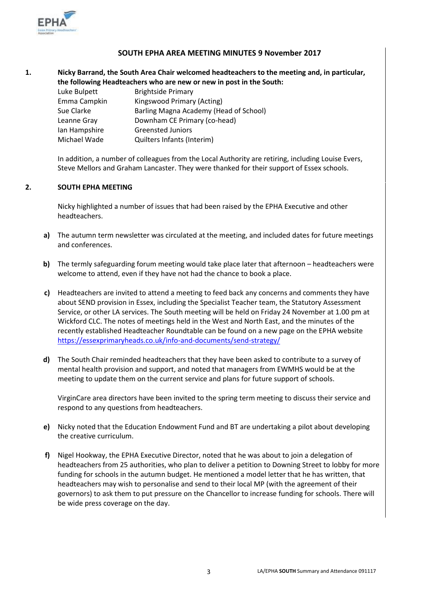

## **SOUTH EPHA AREA MEETING MINUTES 9 November 2017**

**1. Nicky Barrand, the South Area Chair welcomed headteachers to the meeting and, in particular, the following Headteachers who are new or new in post in the South:**

| Luke Bulpett  | <b>Brightside Primary</b>              |
|---------------|----------------------------------------|
| Emma Campkin  | Kingswood Primary (Acting)             |
| Sue Clarke    | Barling Magna Academy (Head of School) |
| Leanne Gray   | Downham CE Primary (co-head)           |
| lan Hampshire | <b>Greensted Juniors</b>               |
| Michael Wade  | Quilters Infants (Interim)             |

In addition, a number of colleagues from the Local Authority are retiring, including Louise Evers, Steve Mellors and Graham Lancaster. They were thanked for their support of Essex schools.

### **2. SOUTH EPHA MEETING**

Nicky highlighted a number of issues that had been raised by the EPHA Executive and other headteachers.

- **a)** The autumn term newsletter was circulated at the meeting, and included dates for future meetings and conferences.
- **b)** The termly safeguarding forum meeting would take place later that afternoon headteachers were welcome to attend, even if they have not had the chance to book a place.
- **c)** Headteachers are invited to attend a meeting to feed back any concerns and comments they have about SEND provision in Essex, including the Specialist Teacher team, the Statutory Assessment Service, or other LA services. The South meeting will be held on Friday 24 November at 1.00 pm at Wickford CLC. The notes of meetings held in the West and North East, and the minutes of the recently established Headteacher Roundtable can be found on a new page on the EPHA website <https://essexprimaryheads.co.uk/info-and-documents/send-strategy/>
- **d)** The South Chair reminded headteachers that they have been asked to contribute to a survey of mental health provision and support, and noted that managers from EWMHS would be at the meeting to update them on the current service and plans for future support of schools.

VirginCare area directors have been invited to the spring term meeting to discuss their service and respond to any questions from headteachers.

- **e)** Nicky noted that the Education Endowment Fund and BT are undertaking a pilot about developing the creative curriculum.
- **f)** Nigel Hookway, the EPHA Executive Director, noted that he was about to join a delegation of headteachers from 25 authorities, who plan to deliver a petition to Downing Street to lobby for more funding for schools in the autumn budget. He mentioned a model letter that he has written, that headteachers may wish to personalise and send to their local MP (with the agreement of their governors) to ask them to put pressure on the Chancellor to increase funding for schools. There will be wide press coverage on the day.